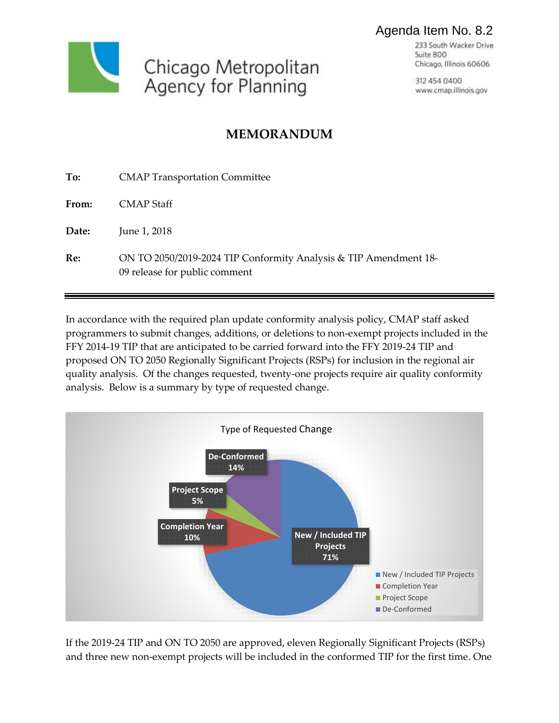

## Agenda Item No. 8.2

233 South Wacker Drive Suite 800 Chicago, Illinois 60606

312 454 0400 www.cmap.illinois.gov

## **MEMORANDUM**

| To:   | <b>CMAP Transportation Committee</b>                                                              |
|-------|---------------------------------------------------------------------------------------------------|
| From: | CMAP Staff                                                                                        |
| Date: | June 1, 2018                                                                                      |
| Re:   | ON TO 2050/2019-2024 TIP Conformity Analysis & TIP Amendment 18-<br>09 release for public comment |

In accordance with the required plan update conformity analysis policy, CMAP staff asked programmers to submit changes, additions, or deletions to non-exempt projects included in the FFY 2014-19 TIP that are anticipated to be carried forward into the FFY 2019-24 TIP and proposed ON TO 2050 Regionally Significant Projects (RSPs) for inclusion in the regional air quality analysis. Of the changes requested, twenty-one projects require air quality conformity analysis. Below is a summary by type of requested change.



If the 2019-24 TIP and ON TO 2050 are approved, eleven Regionally Significant Projects (RSPs) and three new non-exempt projects will be included in the conformed TIP for the first time. One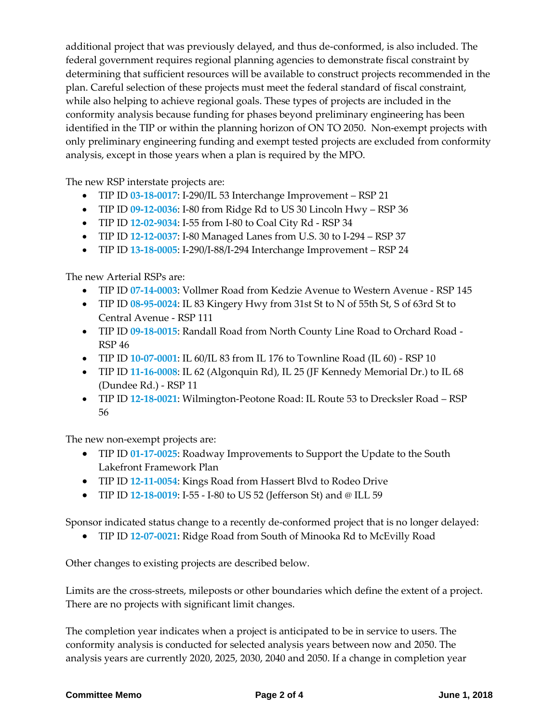additional project that was previously delayed, and thus de-conformed, is also included. The federal government requires regional planning agencies to demonstrate fiscal constraint by determining that sufficient resources will be available to construct projects recommended in the plan. Careful selection of these projects must meet the federal standard of fiscal constraint, while also helping to achieve regional goals. These types of projects are included in the conformity analysis because funding for phases beyond preliminary engineering has been identified in the TIP or within the planning horizon of ON TO 2050. Non-exempt projects with only preliminary engineering funding and exempt tested projects are excluded from conformity analysis, except in those years when a plan is required by the MPO.

The new RSP interstate projects are:

- TIP ID **[03-18-0017](https://etip.cmap.illinois.gov/project_info?project_id=1020440&version=1&view_type=&fromPage=view_type%3D%26mtip_version%3D18-09%26transit_system%3D%26get_top_rows%3D100%26_%3D1527106690384%26end_page=)**: I-290/IL 53 Interchange Improvement RSP 21
- TIP ID **[09-12-0036](https://etip.cmap.illinois.gov/project_info?project_id=36398&version=11&view_type=&fromPage=view_type%3D%26mtip_version%3D18-09%26transit_system%3D%26get_top_rows%3D100%26_%3D1527106690384%26end_page=)**: I-80 from Ridge Rd to US 30 Lincoln Hwy RSP 36
- TIP ID **[12-02-9034](https://etip.cmap.illinois.gov/project_info?project_id=31183&version=2&view_type=&fromPage=view_type%3D%26mtip_version%3D18-09%26transit_system%3D%26get_top_rows%3D100%26_%3D1527106690384%26end_page=)**: I-55 from I-80 to Coal City Rd RSP 34
- TIP ID **[12-12-0037](https://etip.cmap.illinois.gov/project_info?project_id=31970&version=2&view_type=&fromPage=view_type%3D%26mtip_version%3D18-09%26transit_system%3D%26get_top_rows%3D100%26_%3D1527106690384%26end_page=)**: I-80 Managed Lanes from U.S. 30 to I-294 RSP 37
- TIP ID **[13-18-0005](https://etip.cmap.illinois.gov/project_info?project_id=1020480&version=1&view_type=&fromPage=view_type%3D%26mtip_version%3D18-09%26transit_system%3D%26get_top_rows%3D100%26_%3D1527106690384%26end_page=)**: I-290/I-88/I-294 Interchange Improvement RSP 24

The new Arterial RSPs are:

- TIP ID **[07-14-0003](https://etip.cmap.illinois.gov/project_info?project_id=30528&version=7&view_type=&fromPage=view_type%3D%26mtip_version%3D18-09%26transit_system%3D%26get_top_rows%3D100%26_%3D1527106690384%26end_page=)**: Vollmer Road from Kedzie Avenue to Western Avenue RSP 145
- TIP ID **[08-95-0024](https://etip.cmap.illinois.gov/project_info?project_id=36521&version=6&view_type=&fromPage=view_type%3D%26mtip_version%3D18-09%26transit_system%3D%26get_top_rows%3D100%26_%3D1527106339453%26end_page=)**: IL 83 Kingery Hwy from 31st St to N of 55th St, S of 63rd St to Central Avenue - RSP 111
- TIP ID **[09-18-0015](https://etip.cmap.illinois.gov/project_info?project_id=1020562&version=1&view_type=&fromPage=view_type%3D%26mtip_version%3D18-09%26transit_system%3D%26get_top_rows%3D100%26_%3D1527106339453%26end_page=)**: Randall Road from North County Line Road to Orchard Road RSP 46
- TIP ID **[10-07-0001](https://etip.cmap.illinois.gov/project_info?project_id=31296&version=5&view_type=&fromPage=view_type%3D%26mtip_version%3D18-09%26transit_system%3D%26get_top_rows%3D100%26_%3D1527106339453%26end_page=)**: IL 60/IL 83 from IL 176 to Townline Road (IL 60) RSP 10
- TIP ID **[11-16-0008](https://etip.cmap.illinois.gov/project_info?project_id=1010480&version=6&view_type=&fromPage=view_type%3D%26mtip_version%3D18-09%26transit_system%3D%26get_top_rows%3D100%26_%3D1527106339453%26end_page=)**: IL 62 (Algonquin Rd), IL 25 (JF Kennedy Memorial Dr.) to IL 68 (Dundee Rd.) - RSP 11
- TIP ID **[12-18-0021](https://etip.cmap.illinois.gov/project_info?project_id=1020400&version=1&view_type=&fromPage=view_type%3D%26mtip_version%3D18-09%26transit_system%3D%26get_top_rows%3D100%26_%3D1527106339453%26end_page=)**: Wilmington-Peotone Road: IL Route 53 to Drecksler Road RSP 56

The new non-exempt projects are:

- TIP ID **[01-17-0025](https://etip.cmap.illinois.gov/project_info?project_id=1017920&version=3&view_type=&fromPage=view_type%3D%26mtip_version%3D18-09%26transit_system%3D%26get_top_rows%3D100%26_%3D1527106258176%26end_page=)**: Roadway Improvements to Support the Update to the South Lakefront Framework Plan
- TIP ID **[12-11-0054](https://etip.cmap.illinois.gov/project_info?project_id=34571&version=7&view_type=&fromPage=view_type%3D%26mtip_version%3D18-09%26transit_system%3D%26get_top_rows%3D100%26_%3D1527106339453%26end_page=)**: Kings Road from Hassert Blvd to Rodeo Drive
- TIP ID **[12-18-0019](https://etip.cmap.illinois.gov/project_info?project_id=1020360&version=1&view_type=&fromPage=view_type%3D%26mtip_version%3D18-09%26transit_system%3D%26get_top_rows%3D100%26_%3D1527106188016%26end_page=)**: I-55 I-80 to US 52 (Jefferson St) and @ ILL 59

Sponsor indicated status change to a recently de-conformed project that is no longer delayed:

TIP ID **[12-07-0021](https://etip.cmap.illinois.gov/project_info?project_id=32682&version=7&view_type=&fromPage=mtip_version%3D18-04%26transit_system%3D%26get_top_rows%3D100%26_%3D1513617827096%26end_page=)**: Ridge Road from South of Minooka Rd to McEvilly Road

Other changes to existing projects are described below.

Limits are the cross-streets, mileposts or other boundaries which define the extent of a project. There are no projects with significant limit changes.

The completion year indicates when a project is anticipated to be in service to users. The conformity analysis is conducted for selected analysis years between now and 2050. The analysis years are currently 2020, 2025, 2030, 2040 and 2050. If a change in completion year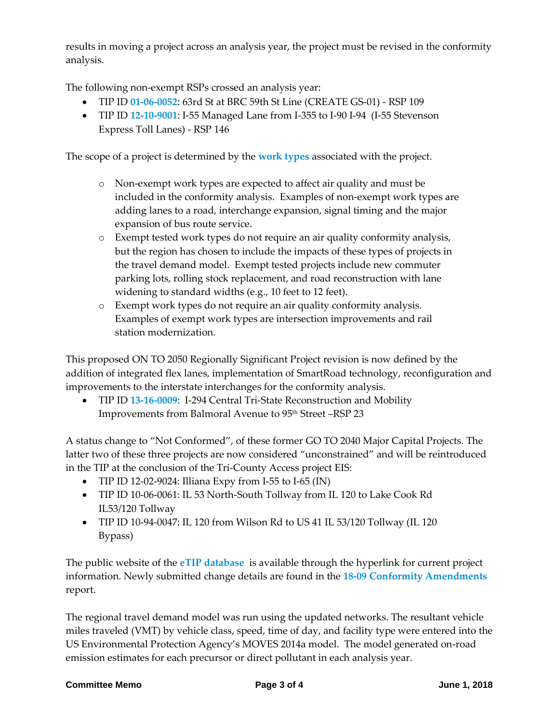results in moving a project across an analysis year, the project must be revised in the conformity analysis.

The following non-exempt RSPs crossed an analysis year:

- TIP ID **[01-06-0052](https://etip.cmap.illinois.gov/project_info?project_id=33739&version=5&view_type=&fromPage=view_type%3D%26mtip_version%3D18-09%26transit_system%3D%26get_top_rows%3D100%26_%3D1527105917109%26end_page=)**: 63rd St at BRC 59th St Line (CREATE GS-01) RSP 109
- TIP ID **[12-10-9001](https://etip.cmap.illinois.gov/project_info?project_id=37900&version=9&view_type=&fromPage=view_type%3D%26mtip_version%3D18-09%26transit_system%3D%26get_top_rows%3D100%26_%3D1527106123466%26end_page=)**: I-55 Managed Lane from I-355 to I-90 I-94 (I-55 Stevenson Express Toll Lanes) - RSP 146

The scope of a project is determined by the **[work types](http://www.cmap.illinois.gov/documents/10180/33012/TIP+Work+Types_Updated+2-19-13.pdf/780844b6-4d26-4c00-9eeb-0a19e296b9f7)** associated with the project.

- o Non-exempt work types are expected to affect air quality and must be included in the conformity analysis. Examples of non-exempt work types are adding lanes to a road, interchange expansion, signal timing and the major expansion of bus route service.
- o Exempt tested work types do not require an air quality conformity analysis, but the region has chosen to include the impacts of these types of projects in the travel demand model. Exempt tested projects include new commuter parking lots, rolling stock replacement, and road reconstruction with lane widening to standard widths (e.g., 10 feet to 12 feet).
- o Exempt work types do not require an air quality conformity analysis. Examples of exempt work types are intersection improvements and rail station modernization.

This proposed ON TO 2050 Regionally Significant Project revision is now defined by the addition of integrated flex lanes, implementation of SmartRoad technology, reconfiguration and improvements to the interstate interchanges for the conformity analysis.

 TIP ID **[13-16-0009](https://etip.cmap.illinois.gov/project_info?project_id=1011480&version=4&view_type=&fromPage=order_by%3D%26order_order%3D%26order_old_by%3D%26search_str%3D13160009%26IS_FROM_FULL%3DTrue%26get_top_rows%3D100%26p_type%3Dundefined%26_%3D1527709937904%26end_page=#tabs-1)**: I-294 Central Tri-State Reconstruction and Mobility Improvements from Balmoral Avenue to 95<sup>th</sup> Street –RSP 23

A status change to "Not Conformed", of these former GO TO 2040 Major Capital Projects. The latter two of these three projects are now considered "unconstrained" and will be reintroduced in the TIP at the conclusion of the Tri-County Access project EIS:

- TIP ID 12-02-9024: Illiana Expy from I-55 to I-65 (IN)
- TIP ID 10-06-0061: IL 53 North-South Tollway from IL 120 to Lake Cook Rd IL53/120 Tollway
- TIP ID 10-94-0047: IL 120 from Wilson Rd to US 41 IL 53/120 Tollway (IL 120) Bypass)

The public website of the **[eTIP database](https://etip.cmap.illinois.gov/default.asp)** is available through the hyperlink for current project information. Newly submitted change details are found in the **[18-09 Conformity Amendments](https://etip.cmap.illinois.gov/fed_type_pj_list?MPO=CMAP&mtip_version=18-09&draft=True)** report.

The regional travel demand model was run using the updated networks. The resultant vehicle miles traveled (VMT) by vehicle class, speed, time of day, and facility type were entered into the US Environmental Protection Agency's MOVES 2014a model. The model generated on-road emission estimates for each precursor or direct pollutant in each analysis year.